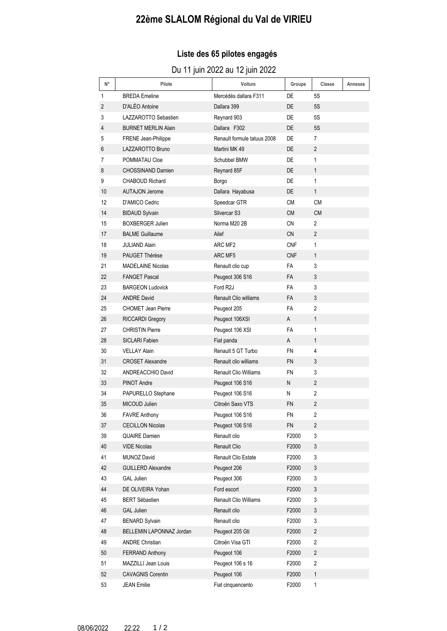# **22ème SLALOM Régional du Val de VIRIEU**

### **Liste des 65 pilotes engagés**

### Du 11 juin 2022 au 12 juin 2022

| $\mathsf{N}^\circ$ | Pilote                     | Voiture                      | Groupe     | Classe                  | <b>Annexes</b> |
|--------------------|----------------------------|------------------------------|------------|-------------------------|----------------|
| 1                  | <b>BREDA</b> Emeline       | Mercédès dallara F311        | DE         | 5S                      |                |
| 2                  | D'ALÉO Antoine             | Dallara 399                  | DE.        | 5S                      |                |
| 3                  | LAZZAROTTO Sebastien       | Reynard 903                  | DE         | 5S                      |                |
| 4                  | <b>BURNET MERLIN Alain</b> | Dallara F302                 | DE         | 5S                      |                |
| 5                  | FRENE Jean-Philippe        | Renault formule tatuus 2008  | DE         | 7                       |                |
| 6                  | LAZZAROTTO Bruno           | Martini MK 49                | <b>DE</b>  | $\overline{2}$          |                |
| 7                  | POMMATAU Cloe              | Schubbel BMW                 | DE         | 1                       |                |
| 8                  | <b>CHOSSINAND Damien</b>   | Reynard 85F                  | DE.        | $\mathbf{1}$            |                |
| 9                  | <b>CHABOUD Richard</b>     | Borgo                        | DE         | 1                       |                |
| 10                 | <b>AUTAJON Jerome</b>      | Dallara Hayabusa             | DE.        | $\mathbf{1}$            |                |
| 12                 | D'AMICO Cedric             | Speedcar GTR                 | СM         | СM                      |                |
| 14                 | <b>BIDAUD Sylvain</b>      | Silvercar <sub>S3</sub>      | <b>CM</b>  | <b>CM</b>               |                |
| 15                 | <b>BOXBERGER Julien</b>    | Norma M20 2B                 | CN         | $\overline{2}$          |                |
| 17                 | <b>BALME Guillaume</b>     | Ailef                        | <b>CN</b>  | $\overline{2}$          |                |
| 18                 | <b>JULIAND Alain</b>       | ARC MF2                      | <b>CNF</b> | 1                       |                |
| 19                 | PAUGET Thérèse             | ARC MF5                      | <b>CNF</b> | $\mathbf{1}$            |                |
| 21                 | <b>MADELAINE Nicolas</b>   | Renault clio cup             | <b>FA</b>  | 3                       |                |
| 22                 | <b>FANGET Pascal</b>       | Peugeot 306 S16              | <b>FA</b>  | 3                       |                |
| 23                 | <b>BARGEON Ludovick</b>    | Ford R <sub>2</sub> J        | <b>FA</b>  | 3                       |                |
| 24                 | <b>ANDRE David</b>         | <b>Renault Clio williams</b> | <b>FA</b>  | 3                       |                |
| 25                 | <b>CHOMET Jean Pierre</b>  | Peugeot 205                  | FA         | 2                       |                |
| 26                 | <b>RICCARDI Gregory</b>    | Peugeot 106XSI               | A          | $\mathbf{1}$            |                |
| 27                 | <b>CHRISTIN Pierre</b>     | Peugeot 106 XSI              | FA         | 1                       |                |
| 28                 | <b>SICLARI Fabien</b>      | Fiat panda                   | A          | $\mathbf{1}$            |                |
| 30                 | <b>VELLAY Alain</b>        | Renault 5 GT Turbo           | FN         | 4                       |                |
| 31                 | <b>CROSET Alexandre</b>    | Renault clio williams        | <b>FN</b>  | 3                       |                |
| 32                 | ANDREACCHIO David          | <b>Renault Clio Williams</b> | <b>FN</b>  | 3                       |                |
| 33                 | <b>PINOT Andre</b>         | Peugeot 106 S16              | N          | $\overline{2}$          |                |
| 34                 | PAPURELLO Stephane         | Peugeot 106 S16              | N          | 2                       |                |
| 35                 | MICOUD Julien              | Citroën Saxo VTS             | <b>FN</b>  | $\overline{2}$          |                |
| 36                 | <b>FAVRE Anthony</b>       | Peugeot 106 S16              | FN         | 2                       |                |
| 37                 | <b>CECILLON Nicolas</b>    | Peugeot 106 S16              | FN         | $\overline{2}$          |                |
| 39                 | <b>QUAIRE Damien</b>       | Renault clio                 | F2000      | 3                       |                |
| 40                 | <b>VIDE Nicolas</b>        | Renault Clio                 | F2000      | 3                       |                |
| 41                 | <b>MUNOZ David</b>         | <b>Renault Clio Estate</b>   | F2000      | 3                       |                |
| 42                 | <b>GUILLERD Alexandre</b>  | Peugeot 206                  | F2000      | 3                       |                |
| 43                 | <b>GAL Julien</b>          | Peugeot 306                  | F2000      | 3                       |                |
| 44                 | DE OLIVEIRA Yohan          | Ford escort                  | F2000      | 3                       |                |
| 45                 | <b>BERT Sébastien</b>      | <b>Renault Clio Williams</b> | F2000      | 3                       |                |
| 46                 | <b>GAL Julien</b>          | Renault clio                 | F2000      | 3                       |                |
| 47                 | <b>BENARD Sylvain</b>      | Renault clio                 | F2000      | 3                       |                |
| 48                 | BELLEMIN LAPONNAZ Jordan   | Peugeot 205 Gti              | F2000      | $\overline{c}$          |                |
| 49                 | <b>ANDRE Christian</b>     | Citroën Visa GTI             | F2000      | $\overline{2}$          |                |
| 50                 | <b>FERRAND Anthony</b>     | Peugeot 106                  | F2000      | $\overline{c}$          |                |
| 51                 | MAZZILLI Jean Louis        | Peugeot 106 s 16             | F2000      | $\overline{\mathbf{c}}$ |                |
| 52                 | <b>CAVAGNIS Corentin</b>   | Peugeot 106                  | F2000      | $\mathbf{1}$            |                |
| 53                 | <b>JEAN Emilie</b>         | Fiat cinquencento            | F2000      | 1                       |                |